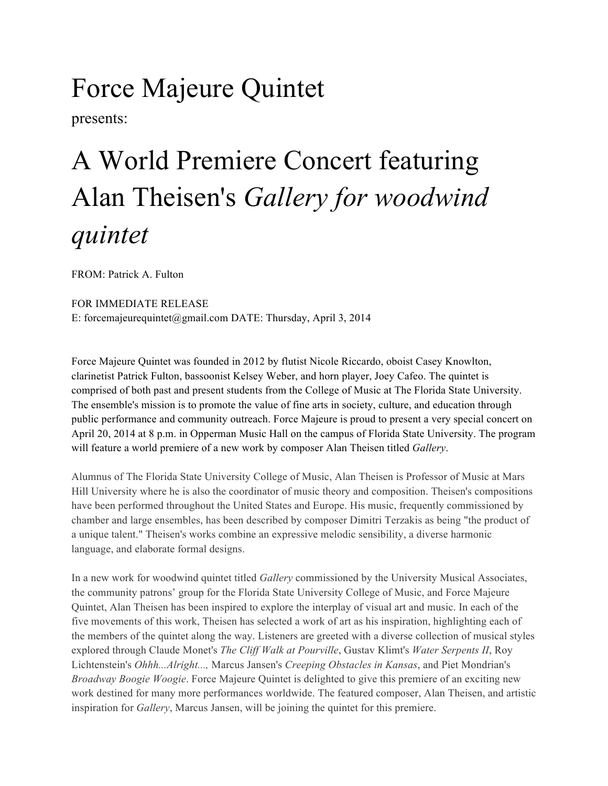## Force Majeure Quintet

presents:

## A World Premiere Concert featuring Alan Theisen's *Gallery for woodwind quintet*

FROM: Patrick A. Fulton

FOR IMMEDIATE RELEASE E: forcemajeurequintet@gmail.com DATE: Thursday, April 3, 2014

Force Majeure Quintet was founded in 2012 by flutist Nicole Riccardo, oboist Casey Knowlton, clarinetist Patrick Fulton, bassoonist Kelsey Weber, and horn player, Joey Cafeo. The quintet is comprised of both past and present students from the College of Music at The Florida State University. The ensemble's mission is to promote the value of fine arts in society, culture, and education through public performance and community outreach. Force Majeure is proud to present a very special concert on April 20, 2014 at 8 p.m. in Opperman Music Hall on the campus of Florida State University. The program will feature a world premiere of a new work by composer Alan Theisen titled *Gallery*.

Alumnus of The Florida State University College of Music, Alan Theisen is Professor of Music at Mars Hill University where he is also the coordinator of music theory and composition. Theisen's compositions have been performed throughout the United States and Europe. His music, frequently commissioned by chamber and large ensembles, has been described by composer Dimitri Terzakis as being "the product of a unique talent." Theisen's works combine an expressive melodic sensibility, a diverse harmonic language, and elaborate formal designs.

In a new work for woodwind quintet titled *Gallery* commissioned by the University Musical Associates, the community patrons' group for the Florida State University College of Music, and Force Majeure Quintet, Alan Theisen has been inspired to explore the interplay of visual art and music. In each of the five movements of this work, Theisen has selected a work of art as his inspiration, highlighting each of the members of the quintet along the way. Listeners are greeted with a diverse collection of musical styles explored through Claude Monet's *The Cliff Walk at Pourville*, Gustav Klimt's *Water Serpents II*, Roy Lichtenstein's *Ohhh...Alright...,* Marcus Jansen's *Creeping Obstacles in Kansas*, and Piet Mondrian's *Broadway Boogie Woogie*. Force Majeure Quintet is delighted to give this premiere of an exciting new work destined for many more performances worldwide. The featured composer, Alan Theisen, and artistic inspiration for *Gallery*, Marcus Jansen, will be joining the quintet for this premiere.